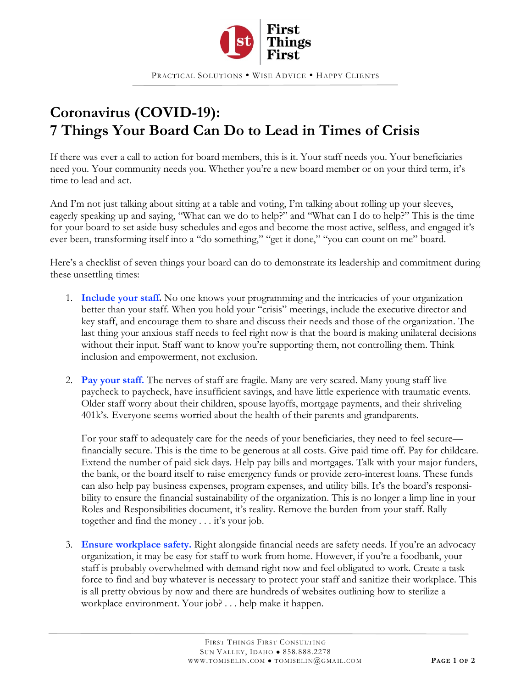

PRACTICAL SOLUTIONS . WISE ADVICE . HAPPY CLIENTS

## **Coronavirus (COVID-19): 7 Things Your Board Can Do to Lead in Times of Crisis**

If there was ever a call to action for board members, this is it. Your staff needs you. Your beneficiaries need you. Your community needs you. Whether you're a new board member or on your third term, it's time to lead and act.

And I'm not just talking about sitting at a table and voting, I'm talking about rolling up your sleeves, eagerly speaking up and saying, "What can we do to help?" and "What can I do to help?" This is the time for your board to set aside busy schedules and egos and become the most active, selfless, and engaged it's ever been, transforming itself into a "do something," "get it done," "you can count on me" board.

Here's a checklist of seven things your board can do to demonstrate its leadership and commitment during these unsettling times:

- 1. **Include your staff.** No one knows your programming and the intricacies of your organization better than your staff. When you hold your "crisis" meetings, include the executive director and key staff, and encourage them to share and discuss their needs and those of the organization. The last thing your anxious staff needs to feel right now is that the board is making unilateral decisions without their input. Staff want to know you're supporting them, not controlling them. Think inclusion and empowerment, not exclusion.
- 2. **Pay your staff.** The nerves of staff are fragile. Many are very scared. Many young staff live paycheck to paycheck, have insufficient savings, and have little experience with traumatic events. Older staff worry about their children, spouse layoffs, mortgage payments, and their shriveling 401k's. Everyone seems worried about the health of their parents and grandparents.

For your staff to adequately care for the needs of your beneficiaries, they need to feel secure financially secure. This is the time to be generous at all costs. Give paid time off. Pay for childcare. Extend the number of paid sick days. Help pay bills and mortgages. Talk with your major funders, the bank, or the board itself to raise emergency funds or provide zero-interest loans. These funds can also help pay business expenses, program expenses, and utility bills. It's the board's responsibility to ensure the financial sustainability of the organization. This is no longer a limp line in your Roles and Responsibilities document, it's reality. Remove the burden from your staff. Rally together and find the money . . . it's your job.

3. **Ensure workplace safety.** Right alongside financial needs are safety needs. If you're an advocacy organization, it may be easy for staff to work from home. However, if you're a foodbank, your staff is probably overwhelmed with demand right now and feel obligated to work. Create a task force to find and buy whatever is necessary to protect your staff and sanitize their workplace. This is all pretty obvious by now and there are hundreds of websites outlining how to sterilize a workplace environment. Your job? . . . help make it happen.